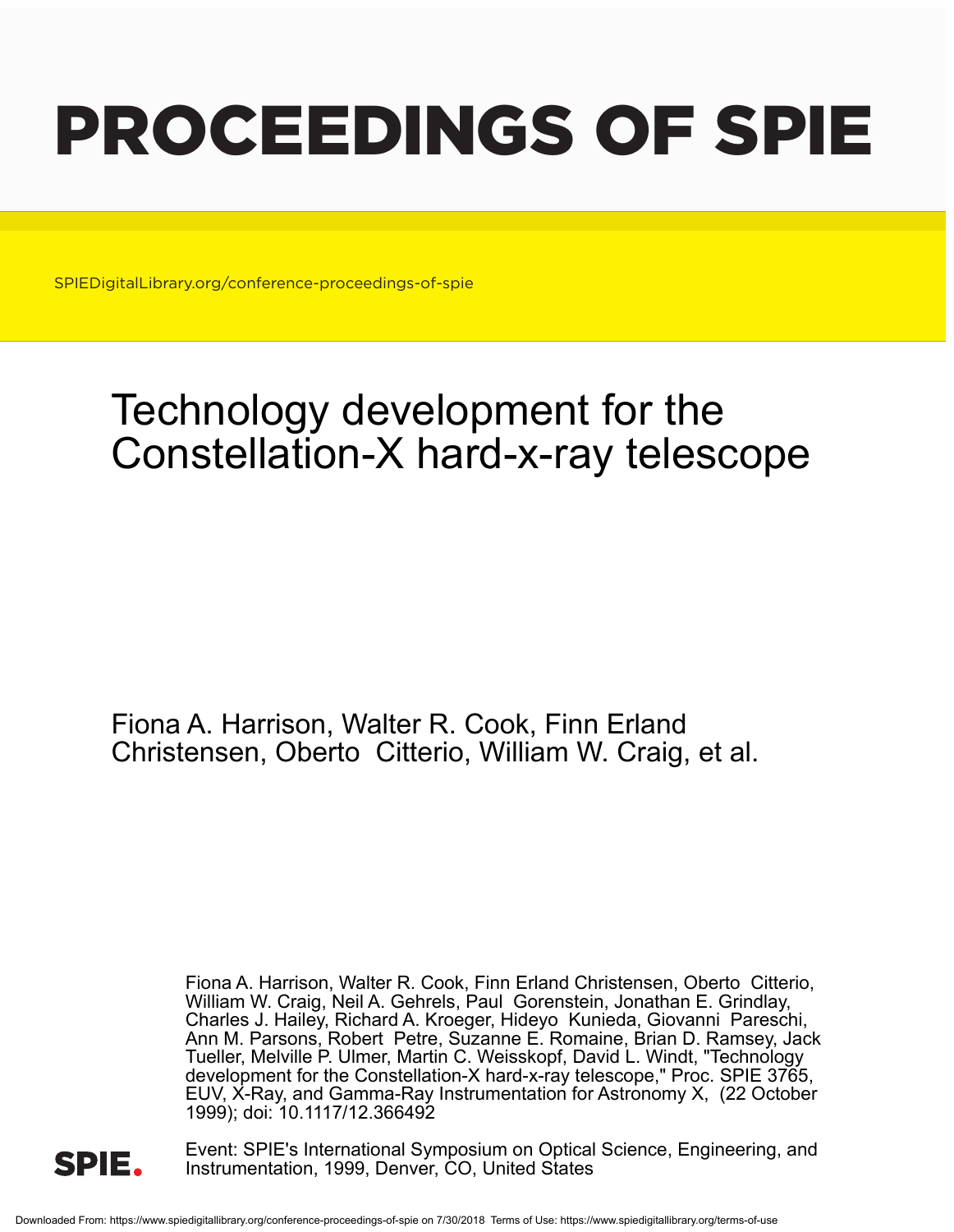# PROCEEDINGS OF SPIE

SPIEDigitalLibrary.org/conference-proceedings-of-spie

## Technology development for the Constellation-X hard-x-ray telescope

Fiona A. Harrison, Walter R. Cook, Finn Erland Christensen, Oberto Citterio, William W. Craig, et al.

> Fiona A. Harrison, Walter R. Cook, Finn Erland Christensen, Oberto Citterio, William W. Craig, Neil A. Gehrels, Paul Gorenstein, Jonathan E. Grindlay, Charles J. Hailey, Richard A. Kroeger, Hideyo Kunieda, Giovanni Pareschi, Ann M. Parsons, Robert Petre, Suzanne E. Romaine, Brian D. Ramsey, Jack Tueller, Melville P. Ulmer, Martin C. Weisskopf, David L. Windt, "Technology development for the Constellation-X hard-x-ray telescope," Proc. SPIE 3765, EUV, X-Ray, and Gamma-Ray Instrumentation for Astronomy X, (22 October 1999); doi: 10.1117/12.366492



Event: SPIE's International Symposium on Optical Science, Engineering, and Instrumentation, 1999, Denver, CO, United States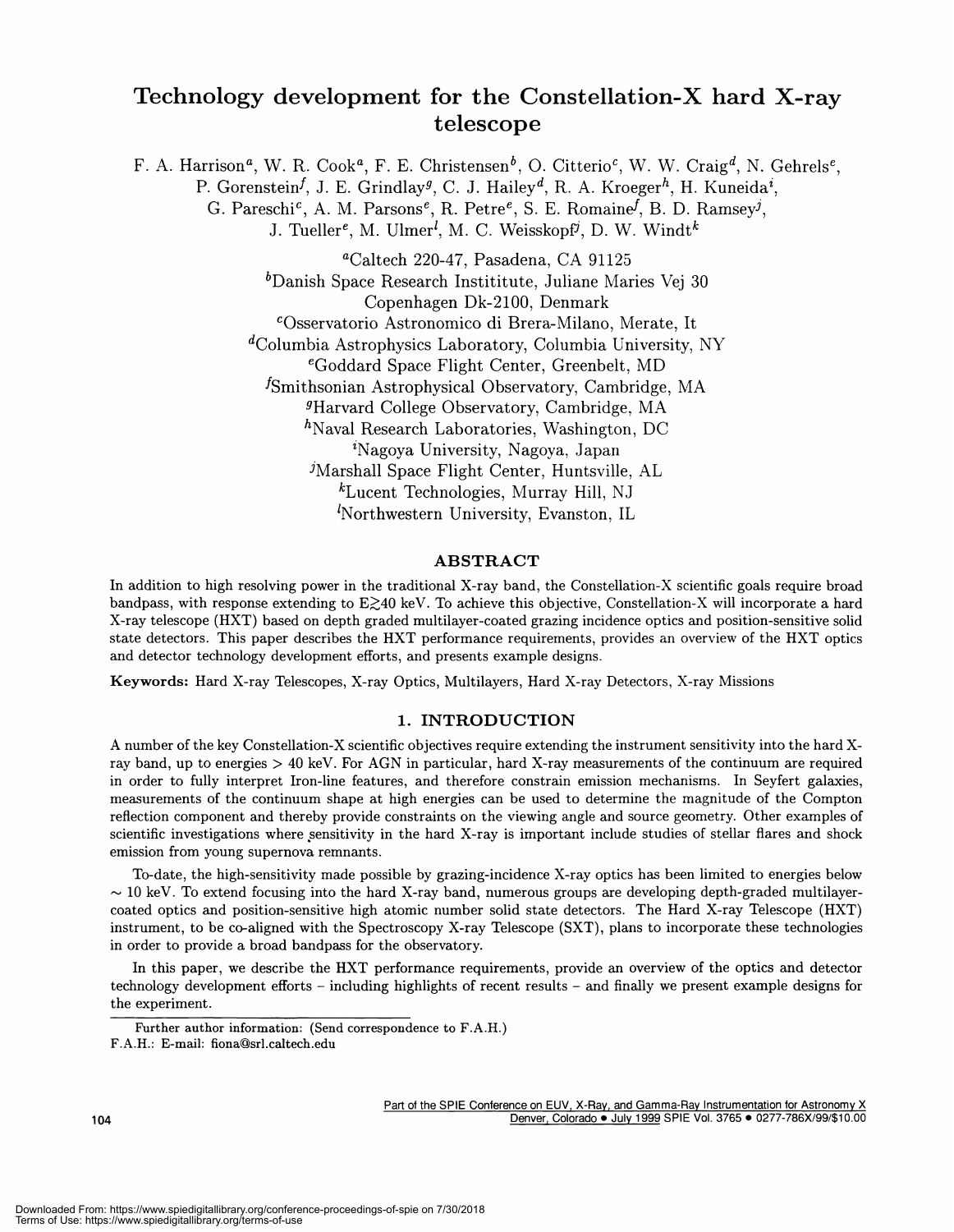### Technology development for the Constellation—X hard X-ray telescope

F. A. Harrison<sup>a</sup>, W. R. Cook<sup>a</sup>, F. E. Christensen<sup>b</sup>, O. Citterio<sup>c</sup>, W. W. Craig<sup>d</sup>, N. Gehrels<sup>e</sup>, P. Gorenstein<sup>f</sup>, J. E. Grindlay<sup>g</sup>, C. J. Hailey<sup>d</sup>, R. A. Kroeger<sup>h</sup>, H. Kuneida<sup>i</sup>, G. Pareschi<sup>c</sup>, A. M. Parsons<sup>e</sup>, R. Petre<sup>e</sup>, S. E. Romaine<sup>f</sup>, B. D. Ramsey<sup>j</sup>, J. Tueller<sup>e</sup>, M. Ulmer<sup>l</sup>, M. C. Weisskopf<sup>j</sup>, D. W. Windt<sup>k</sup> aCaltech 220-47, Pasadena, CA 91125  $b$ Danish Space Research Instititute, Juliane Maries Vej 30 Copenhagen Dk-2100, Denmark COsservatorjo Astronomico di Brera-Milano, Merate, It  $\alpha$ <sup>d</sup>Columbia Astrophysics Laboratory, Columbia University, NY eGoddard Space Flight Center, Greenbelt, MD 1Smithsonian Astrophysical Observatory, Cambridge, MA Harvard College Observatory, Cambridge, MA  $h$ Naval Research Laboratories, Washington, DC Nagoya University, Nagoya, Japan 'Marshall Space Flight Center, Huntsville, AL  $k$ Lucent Technologies, Murray Hill, NJ  $<sup>l</sup>$ Northwestern University, Evanston, IL</sup>

#### ABSTRACT

In addition to high resolving power in the traditional X-ray band, the Constellation-X scientific goals require broad bandpass, with response extending to  $E\geq 40$  keV. To achieve this objective, Constellation-X will incorporate a hard X-ray telescope (HXT) based on depth graded multilayer-coated grazing incidence optics and position-sensitive solid state detectors. This paper describes the HXT performance requirements, provides an overview of the HXT optics and detector technology development efforts, and presents example designs.

Keywords: Hard X-ray Telescopes, X-ray Optics, Multilayers, Hard X-ray Detectors, X-ray Missions

#### 1. INTRODUCTION

A number of the key Constellation-X scientific objectives require extending the instrument sensitivity into the hard Xray band, up to energies > 40 keV. For AGN in particular, hard X-ray measurements of the continuum are required in order to fully interpret Iron-line features, and therefore constrain emission mechanisms. In Seyfert galaxies, measurements of the continuum shape at high energies can be used to determine the magnitude of the Compton reflection component and thereby provide constraints on the viewing angle and source geometry. Other examples of scientific investigations where sensitivity in the hard X-ray is important include studies of stellar flares and shock emission from young supernova remnants.

To-date, the high-sensitivity made possible by grazing-incidence X-ray optics has been limited to energies below  $\sim$  10 keV. To extend focusing into the hard X-ray band, numerous groups are developing depth-graded multilayercoated optics and position-sensitive high atomic number solid state detectors. The Hard X-ray Telescope (HXT) instrument, to be co-aligned with the Spectroscopy X-ray Telescope (SXT), plans to incorporate these technologies in order to provide a broad bandpass for the observatory.

In this paper, we describe the HXT performance requirements, provide an overview of the optics and detector technology development efforts — including highlights of recent results — and finally we present example designs for the experiment.

Part of the SPIE Conference on EUV, X-Ray, and Gamma-Ray Instrumentation for Astronomy X 104 Denver, Colorado • July 1999 SPIE Vol. 3765 • 0277-786X/99/\$10.00

Further author information: (Send correspondence to F.A.H.)

F.A.H.: E-mail: fiona©srl.caltech.edu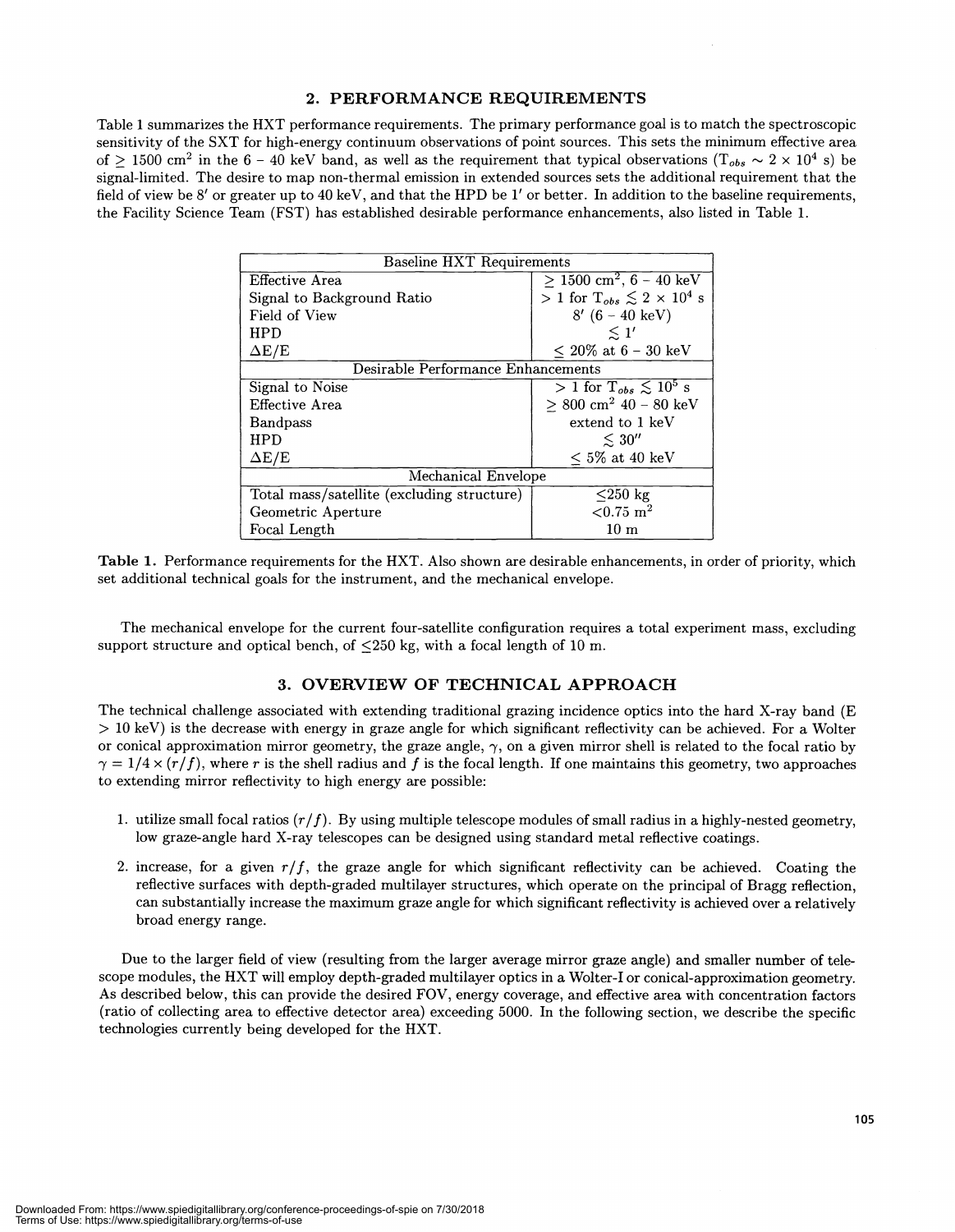#### 2. PERFORMANCE REQUIREMENTS

Table 1 summarizes the HXT performance requirements. The primary performance goal is to match the spectroscopic sensitivity of the SXT for high-energy continuum observations of point sources. This sets the minimum effective area of  $> 1500$  cm<sup>2</sup> in the 6 – 40 keV band, as well as the requirement that typical observations  $(T_{obs} \sim 2 \times 10^4$  s) be signal-limited. The desire to map non-thermal emission in extended sources sets the additional requirement that the field of view be 8' or greater up to 40 keV, and that the HPD be 1' or better. In addition to the baseline requirements, the Facility Science Team (FST) has established desirable performance enhancements, also listed in Table 1.

| <b>Baseline HXT Requirements</b>           |                                                      |  |
|--------------------------------------------|------------------------------------------------------|--|
| Effective Area                             | $> 1500$ cm <sup>2</sup> , 6 – 40 keV                |  |
| Signal to Background Ratio                 | > 1 for $T_{obs} \leq 2 \times 10^4$ s               |  |
| Field of View                              | $8'$ (6 – 40 keV)                                    |  |
| <b>HPD</b>                                 | $\leq 1'$                                            |  |
| $\Delta E/E$                               | $< 20\%$ at 6 - 30 keV                               |  |
| Desirable Performance Enhancements         |                                                      |  |
| Signal to Noise                            | $> 1$ for $T_{obs} \lesssim 10^5$ s                  |  |
| Effective Area                             | $\geq 800 \text{ cm}^2 \text{ } 40 - 80 \text{ keV}$ |  |
| <b>Bandpass</b>                            | extend to 1 keV                                      |  |
| <b>HPD</b>                                 | $\leq 30''$                                          |  |
| $\Delta E/E$                               | $< 5\%$ at 40 keV                                    |  |
| Mechanical Envelope                        |                                                      |  |
| Total mass/satellite (excluding structure) | $\leq$ 250 kg                                        |  |
| Geometric Aperture                         | $< 0.75 \; \mathrm{m}^2$                             |  |
| Focal Length                               | 10 <sub>m</sub>                                      |  |

Table 1. Performance requirements for the HXT. Also shown are desirable enhancements, in order of priority, which set additional technical goals for the instrument, and the mechanical envelope.

The mechanical envelope for the current four-satellite configuration requires a total experiment mass, excluding support structure and optical bench, of  $\leq 250$  kg, with a focal length of 10 m.

#### 3. OVERVIEW OF TECHNICAL APPROACH

The technical challenge associated with extending traditional grazing incidence optics into the hard X-ray band (E > 10 keY) is the decrease with energy in graze angle for which significant reflectivity can be achieved. For a Wolter or conical approximation mirror geometry, the graze angle,  $\gamma$ , on a given mirror shell is related to the focal ratio by  $\gamma = 1/4 \times (r/f)$ , where r is the shell radius and f is the focal length. If one maintains this geometry, two approaches to extending mirror reflectivity to high energy are possible:

- 1. utilize small focal ratios  $(r/f)$ . By using multiple telescope modules of small radius in a highly-nested geometry, low graze-angle hard X-ray telescopes can be designed using standard metal reflective coatings.
- 2. increase, for a given  $r/f$ , the graze angle for which significant reflectivity can be achieved. Coating the reflective surfaces with depth-graded multilayer structures, which operate on the principal of Bragg reflection, can substantially increase the maximum graze angle for which significant reflectivity is achieved over a relatively broad energy range.

Due to the larger field of view (resulting from the larger average mirror graze angle) and smaller number of telescope modules, the HXT will employ depth-graded multilayer optics in a Wolter-I or conical-approximation geometry. As described below, this can provide the desired FOV, energy coverage, and effective area with concentration factors ( ratio of collecting area to effective detector area) exceeding 5000. In the following section, we describe the specific technologies currently being developed for the HXT.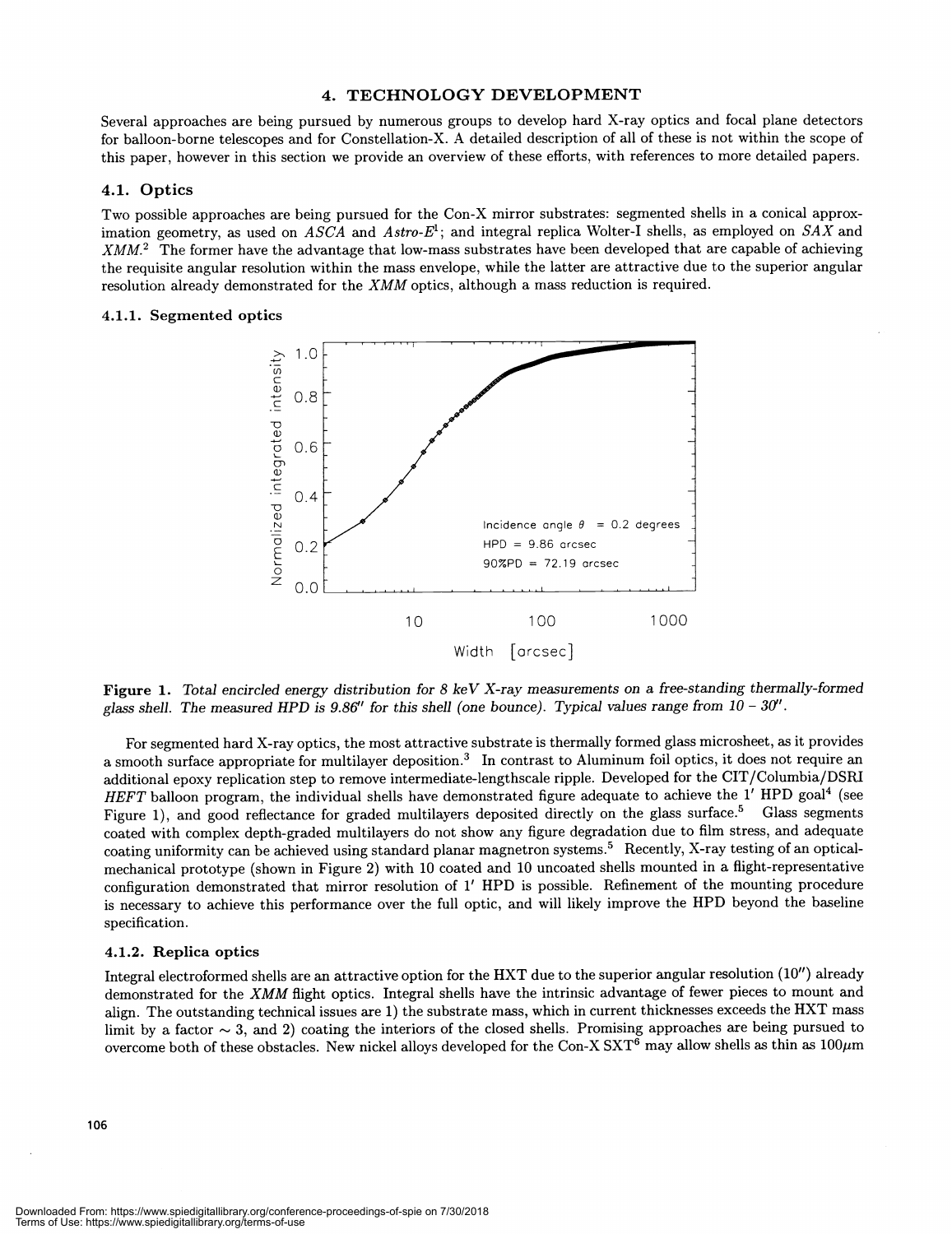#### 4. TECHNOLOGY DEVELOPMENT

Several approaches are being pursued by numerous groups to develop hard X-ray optics and focal plane detectors for balloon-borne telescopes and for Constellation-X. A detailed description of all of these is not within the scope of this paper, however in this section we provide an overview of these efforts, with references to more detailed papers.

#### 4.1. Optics

Two possible approaches are being pursued for the Con-X mirror substrates: segmented shells in a conical approximation geometry, as used on  $ASCA$  and  $Astro-E<sup>1</sup>$ ; and integral replica Wolter-I shells, as employed on  $SAX$  and XMM.2 The former have the advantage that low-mass substrates have been developed that are capable of achieving the requisite angular resolution within the mass envelope, while the latter are attractive due to the superior angular resolution already demonstrated for the XMM optics, although a mass reduction is required.

#### 4.1.1. Segmented optics



Figure 1. Total encircled energy distribution for 8 keV X-ray measurements on a free-standing thermally-formed glass shell. The measured HPD is 9.86" for this shell (one bounce). Typical values range from  $10 - 30$ ".

For segmented hard X-ray optics, the most attractive substrate is thermally formed glass microsheet, as it provides a smooth surface appropriate for multilayer deposition.3 In contrast to Aluminum foil optics, it does not require an additional epoxy replication step to remove intermediate-lengthscale ripple. Developed for the CIT/Columbia/DSRI HEFT balloon program, the individual shells have demonstrated figure adequate to achieve the 1' HPD goal<sup>4</sup> (see Figure 1), and good reflectance for graded multilayers deposited directly on the glass surface.<sup>5</sup> Glass segments coated with complex depth-graded multilayers do not show any figure degradation due to film stress, and adequate coating uniformity can be achieved using standard planar magnetron systems.5 Recently, X-ray testing of an opticalmechanical prototype (shown in Figure 2) with 10 coated and 10 uncoated shells mounted in a flight-representative configuration demonstrated that mirror resolution of 1' HPD is possible. Refinement of the mounting procedure is necessary to achieve this performance over the full optic, and will likely improve the HPD beyond the baseline specification.

#### 4.1.2. Replica optics

Integral electroformed shells are an attractive option for the HXT due to the superior angular resolution (10") already demonstrated for the XMM flight optics. Integral shells have the intrinsic advantage of fewer pieces to mount and align. The outstanding technical issues are 1) the substrate mass, which in current thicknesses exceeds the HXT mass limit by a factor  $\sim$  3, and 2) coating the interiors of the closed shells. Promising approaches are being pursued to overcome both of these obstacles. New nickel alloys developed for the Con-X SXT<sup>6</sup> may allow shells as thin as  $100\mu$ m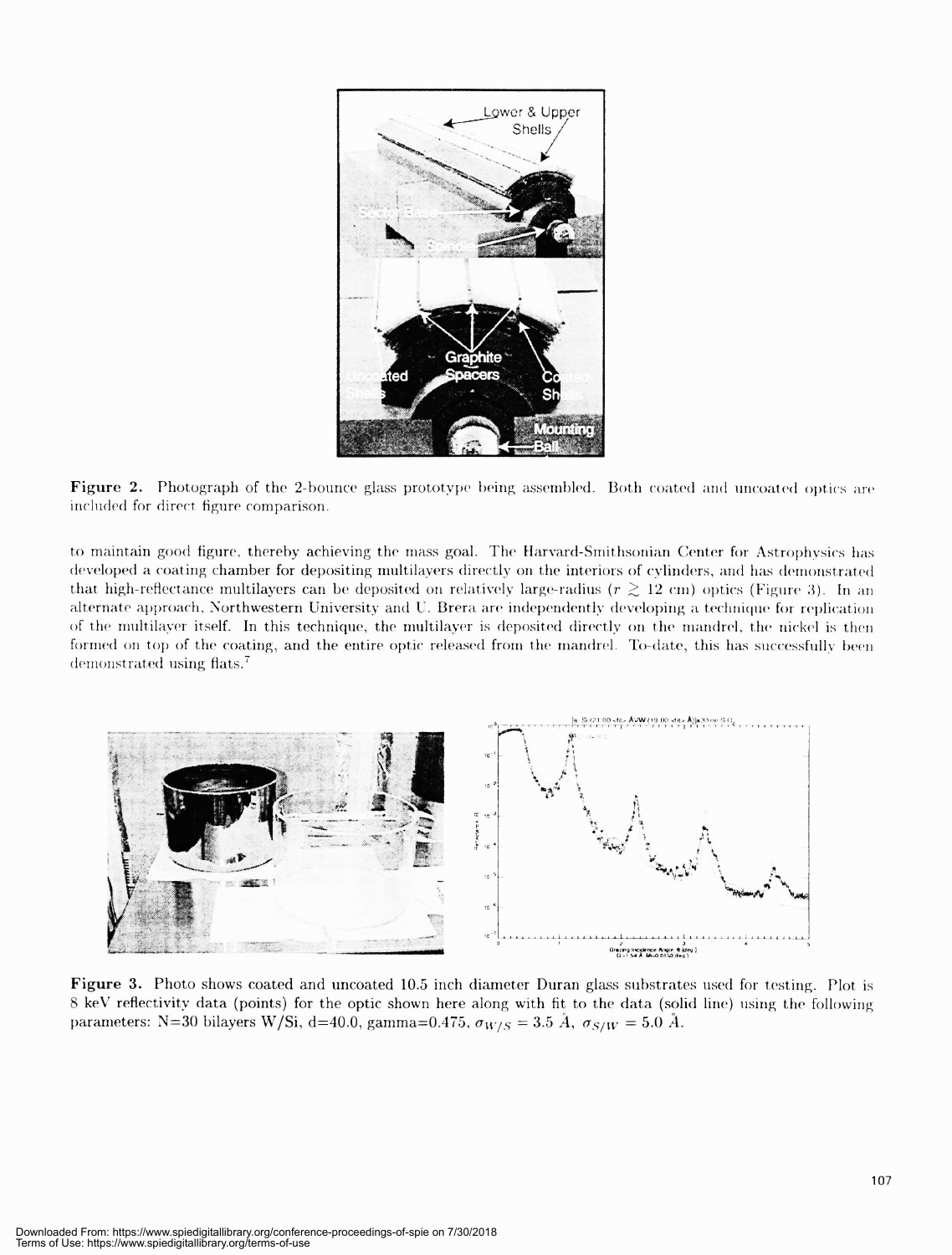

Figure 2. Photograph of the 2-bounce glass prototype being assembled. Both coated and uncoated optics are included for direct figure comparison.

to maintain good figure, thereby achieving the mass goal. The Harvard-Smithsonian Center for Astrophysics has developed a coating chamber for depositing multilayers directly on the interiors of cylinders, and has demonstrated that high-reflectance multilayers can be deposited on relatively large-radius ( $r \gtrsim 12$  cm) optics (Figure 3). In an alternate approach, Northwestern University and U. Brera are independently developing a technique for replication of the multilayer itself. In this technique, the multilayer is deposited directly on the mandrel, the nickel is then formed on top of the coating, and the entire optic released from the mandrel. To-date, this has successfully been demonstrated using flats.<sup>7</sup>



Figure 3. Photo shows coated and uncoated 10.5 inch diameter Duran glass substrates used for testing. Plot is 8 keV reflectivity data (points) for the optic shown here along with fit to the data (solid line) using the following parameters: N=30 bilayers W/Si, d=40.0, gamma=0.475,  $\sigma_{W/S} = 3.5 \text{ Å}$ ,  $\sigma_{S/W} = 5.0 \text{ Å}$ .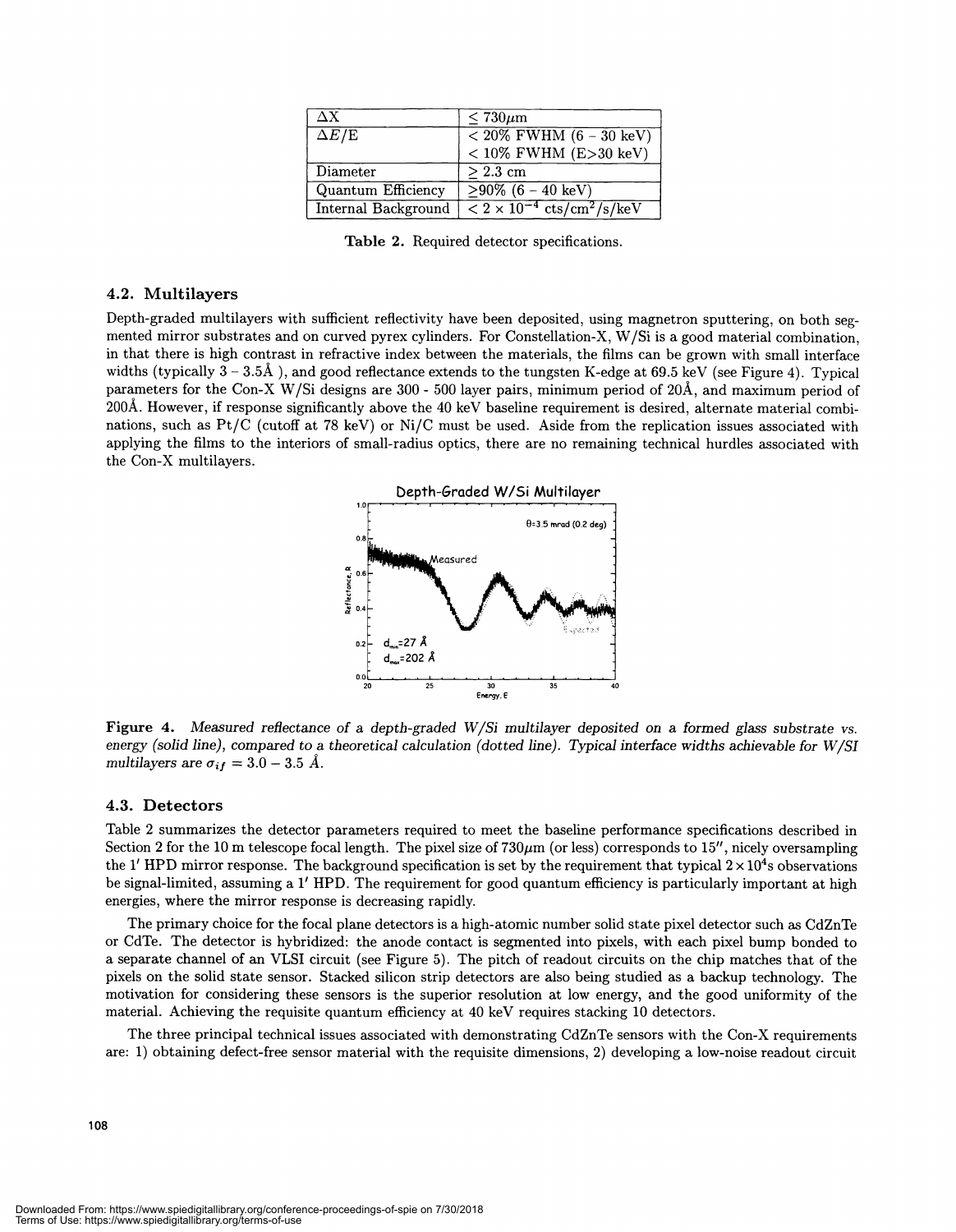| \X.                 | $< 730 \mu m$                                           |
|---------------------|---------------------------------------------------------|
| $\Delta E/\rm{E}$   | $\sqrt{20\% \text{ FWHM} (6-30 \text{ keV})}$           |
|                     | $< 10\%$ FWHM (E>30 keV)                                |
| Diameter            | $> 2.3~\rm cm$                                          |
| Quantum Efficiency  | $>90\%$ (6 – 40 keV)                                    |
| Internal Background | $\sqrt{2 \times 10^{-4} \text{ cts/cm}^2/\text{s/keV}}$ |

Table 2. Required detector specifications.

#### 4.2. Multilayers

Depth-graded multilayers with sufficient reflectivity have been deposited, using magnetron sputtering, on both segmented mirror substrates and on curved pyrex cylinders. For Constellation-X, W/Si is a good material combination, in that there is high contrast in refractive index between the materials, the films can be grown with small interface widths (typically  $3 - 3.5$ Å), and good reflectance extends to the tungsten K-edge at 69.5 keV (see Figure 4). Typical parameters for the Con-X W/Si designs are 300 - 500 layer pairs, minimum period of 20A, and maximum period of 200A. However, if response significantly above the 40 keV baseline requirement is desired, alternate material combinations, such as Pt/C (cutoff at 78 keV) or Ni/C must be used. Aside from the replication issues associated with applying the films to the interiors of small-radius optics, there are no remaining technical hurdles associated with the Con-X multilayers.



Figure 4. Measured reflectance of a depth-graded W/Si multilayer deposited on a formed glass substrate vs. energy (solid line), compared to a theoretical calculation (dotted line). Typical interface widths achievable for W/SI multilayers are  $\sigma_{if} = 3.0 - 3.5$  Å.

#### 4.3. Detectors

Table 2 summarizes the detector parameters required to meet the baseline performance specifications described in Section 2 for the 10 m telescope focal length. The pixel size of  $730\mu$ m (or less) corresponds to 15", nicely oversampling the 1' HPD mirror response. The background specification is set by the requirement that typical  $2 \times 10^4$ s observations be signal-limited, assuming a 1' HPD. The requirement for good quantum efficiency is particularly important at high energies, where the mirror response is decreasing rapidly.

The primary choice for the focal plane detectors is a high-atomic number solid state pixel detector such as CdZnTe or CdTe. The detector is hybridized: the anode contact is segmented into pixels, with each pixel bump bonded to a separate channel of an VLSI circuit (see Figure 5). The pitch of readout circuits on the chip matches that of the pixels on the solid state sensor. Stacked silicon strip detectors are also being studied as a backup technology. The motivation for considering these sensors is the superior resolution at low energy, and the good uniformity of the material. Achieving the requisite quantum efficiency at 40 keV requires stacking 10 detectors.

The three principal technical issues associated with demonstrating CdZnTe sensors with the Con-X requirements are: 1) obtaining defect-free sensor material with the requisite dimensions, 2) developing a low-noise readout circuit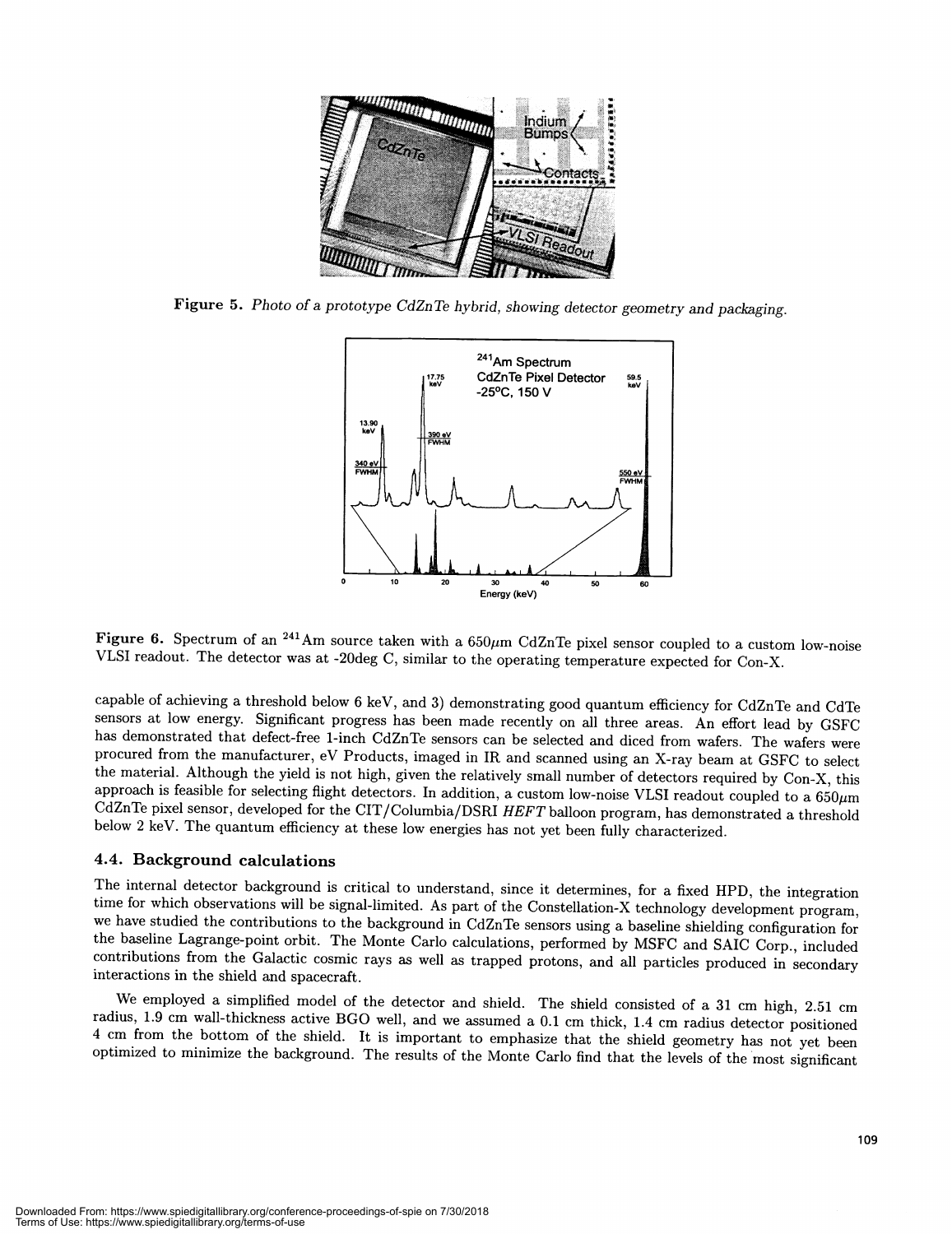

Figure 5. Photo of a prototype CdZnTe hybrid, showing detector geometry and packaging.



Figure 6. Spectrum of an <sup>241</sup>Am source taken with a  $650\mu$ m CdZnTe pixel sensor coupled to a custom low-noise VLSI readout. The detector was at -2Odeg C, similar to the operating temperature expected for Con-X.

capable of achieving a threshold below 6 keV, and 3) demonstrating good quantum efficiency for CdZnTe and CdTe sensors at low energy. Significant progress has been made recently on all three areas. An effort lead by GSFC has demonstrated that defect-free 1-inch CdZnTe sensors can be selected and diced from wafers. The wafers were procured from the manufacturer, eV Products, imaged in IR and scanned using an X-ray beam at GSFC to select<br>the material. Although the yield is not high, given the relatively small number of detectors required by Con-X, th approach is feasible for selecting flight detectors. In addition, a custom low-noise VLSI readout coupled to a  $650 \mu m$ CdZnTe pixel sensor, developed for the CIT/Columbia/DSRI HEFT balloon program, has demonstrated a threshold below 2 keV. The quantum efficiency at these low energies has not yet been fully characterized.

#### 4.4. Background calculations

The internal detector background is critical to understand, since it determines, for a fixed HPD, the integration<br>time for which observations will be signal-limited. As part of the Constellation-X technology development pr the baseline Lagrange-point orbit. The Monte Carlo calculations, performed by MSFC and SAIC Corp., included contributions from the Galactic cosmic rays as well as trapped protons, and all particles produced in secondary interactions in the shield and spacecraft.

We employed a simplified model of the detector and shield. The shield consisted of a 31 cm high, 2.51 cm radius, 1.9 cm wall-thickness active BGO well, and we assumed a 0.1 cm thick, 1.4 cm radius detector positioned 4 cm from the bottom of the shield. It is important to emphasize that the shield geometry has not yet been optimized to minimize the background. The results of the Monte Carlo find that the levels of the mostsignificant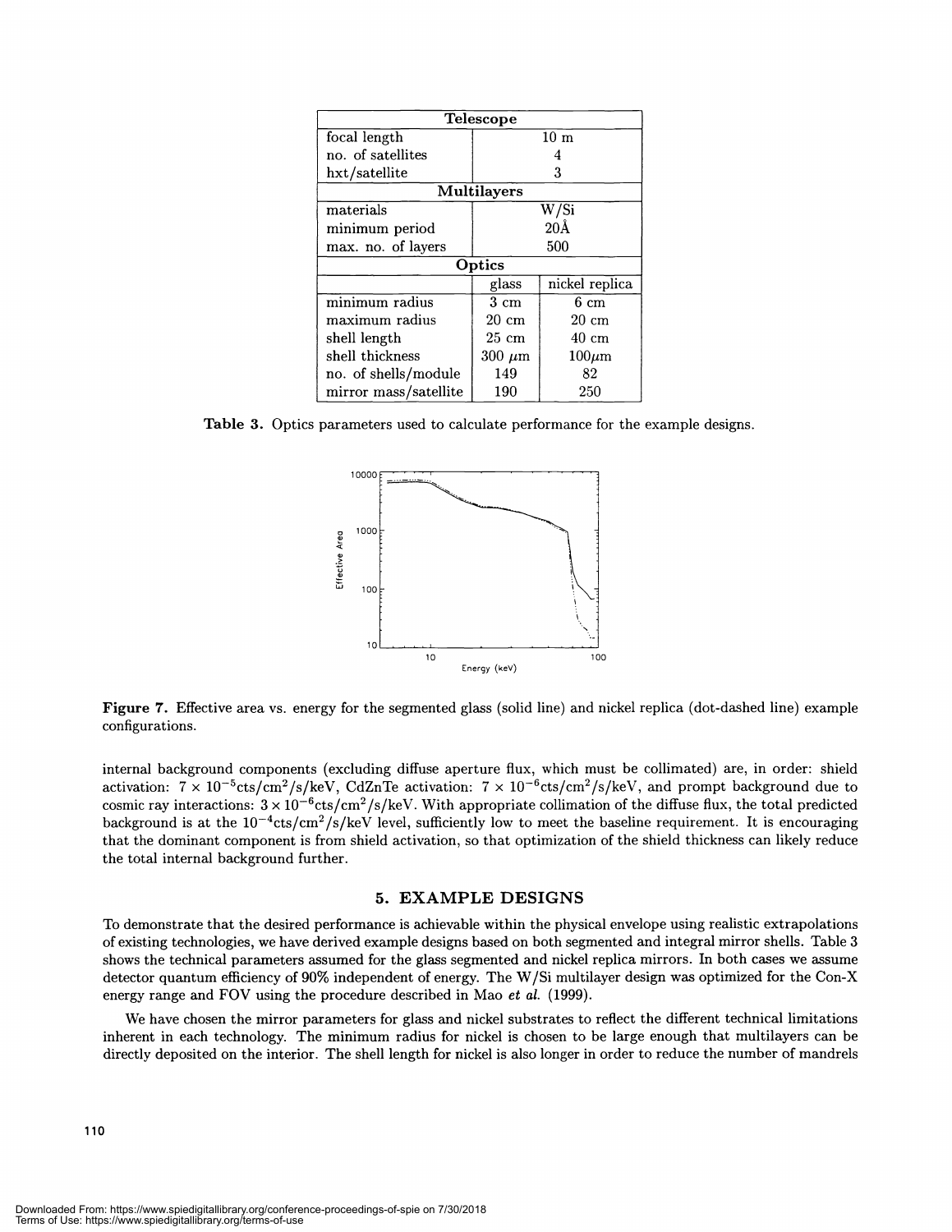| <b>Telescope</b>                   |                    |                 |  |
|------------------------------------|--------------------|-----------------|--|
| focal length                       | $10~\mathrm{m}$    |                 |  |
| no. of satellites                  |                    |                 |  |
| hxt/satellite                      | 3                  |                 |  |
| <b>Multilayers</b>                 |                    |                 |  |
| materials                          | W/Si               |                 |  |
| minimum period                     | 20 Å               |                 |  |
| max. no. of layers                 | 500                |                 |  |
| Optics                             |                    |                 |  |
|                                    | glass              | nickel replica  |  |
| $\overline{\text{minimum}}$ radius | $3 \; \mathrm{cm}$ | 6 cm            |  |
| maximum radius                     | $20 \text{ cm}$    | $20 \text{ cm}$ |  |
| shell length                       | $25 \text{ cm}$    | 40 cm           |  |
| shell thickness                    | $300 \ \mu m$      | $100 \mu m$     |  |
| no. of shells/module               | 149                | 82              |  |
| mirror mass/satellite              | 190                | 250             |  |

Table 3. Optics parameters used to calculate performance for the example designs.



Figure 7. Effective area vs. energy for the segmented glass (solid line) and nickel replica (dot-dashed line) example configurations.

internal background components (excluding diffuse aperture flux, which must be collimated) are, in order: shield activation:  $7 \times 10^{-5}$ cts/cm<sup>2</sup>/s/keV, CdZnTe activation:  $7 \times 10^{-6}$ cts/cm<sup>2</sup>/s/keV, and prompt background due to cosmic ray interactions:  $3 \times 10^{-6}$ cts/cm<sup>2</sup>/s/keV. With appropriate collimation of the diffuse flux, the total predicted background is at the  $10^{-4}$ cts/cm<sup>2</sup>/s/keV level, sufficiently low to meet the baseline requirement. It is encouraging that the dominant component is from shield activation, so that optimization of the shield thickness can likely reduce the total internal background further.

#### 5. EXAMPLE DESIGNS

To demonstrate that the desired performance is achievable within the physical envelope using realistic extrapolations of existing technologies, we have derived example designs based on both segmented and integral mirror shells. Table 3 shows the technical parameters assumed for the glass segmented and nickel replica mirrors. In both cases we assume detector quantum efficiency of 90% independent of energy. The W/Si multilayer design was optimized for the Con-X energy range and FOV using the procedure described in Mao et al. (1999).

We have chosen the mirror parameters for glass and nickel substrates to reflect the different technical limitations inherent in each technology. The minimum radius for nickel is chosen to be large enough that multilayers can be directly deposited on the interior. The shell length for nickel is also longer in order to reduce the number of mandrels